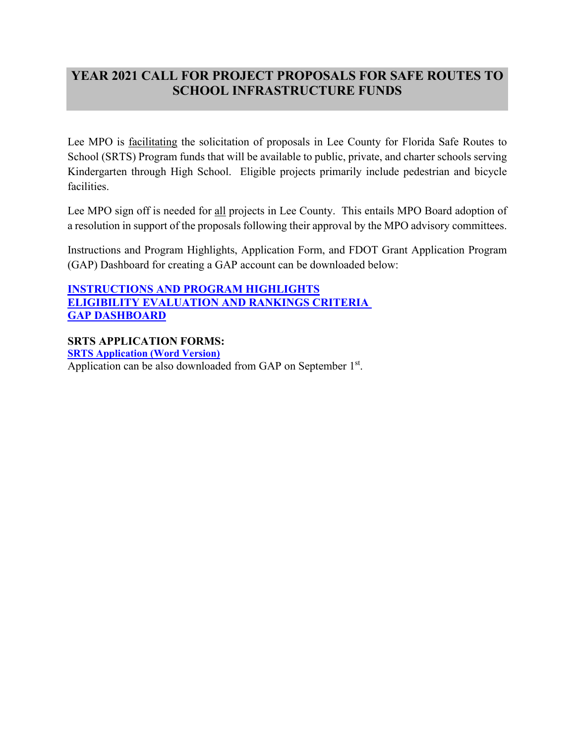## **YEAR 2021 CALL FOR PROJECT PROPOSALS FOR SAFE ROUTES TO SCHOOL INFRASTRUCTURE FUNDS**

Lee MPO is facilitating the solicitation of proposals in Lee County for Florida Safe Routes to School (SRTS) Program funds that will be available to public, private, and charter schools serving Kindergarten through High School. Eligible projects primarily include pedestrian and bicycle facilities.

Lee MPO sign off is needed for all projects in Lee County. This entails MPO Board adoption of a resolution in support of the proposals following their approval by the MPO advisory committees.

Instructions and Program Highlights, Application Form, and FDOT Grant Application Program (GAP) Dashboard for creating a GAP account can be downloaded below:

**[INSTRUCTIONS AND PROGRAM HIGHLIGHTS](https://leempo.com/wp-content/uploads/INSTRUCTIONS-AND-PROGRAM-HIGHLIGHTS-1.pdf) [ELIGIBILITY EVALUATION AND RANKINGS CRITERIA](https://leempo.com/wp-content/uploads/ELIGIBILITY-EVALUATION-AND-RANKING-CRITERIA.pdf)  [GAP DASHBOARD](https://leempo.com/wp-content/uploads/GAP-Dashboard.pdf)** 

**SRTS APPLICATION FORMS: [SRTS Application \(Word Version\)](https://leempo.com/wp-content/uploads/Blank-2019-SRTS-Application.docx)** Application can be also downloaded from GAP on September 1<sup>st</sup>.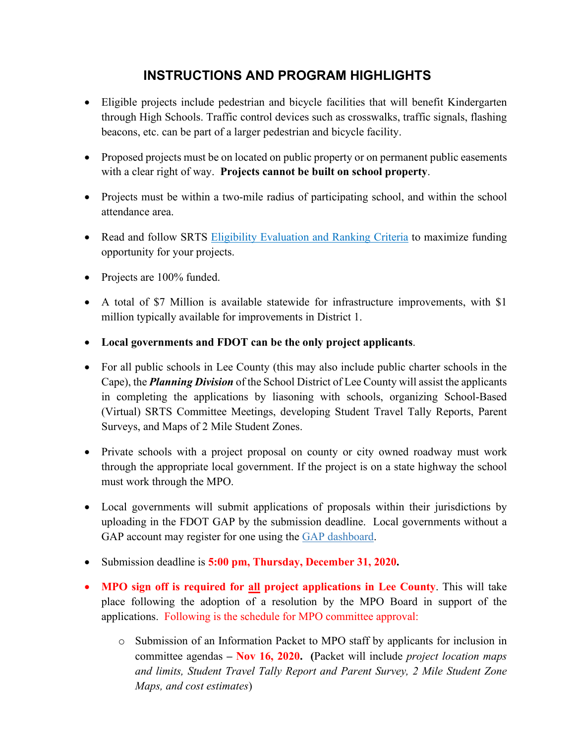# **INSTRUCTIONS AND PROGRAM HIGHLIGHTS**

- Eligible projects include pedestrian and bicycle facilities that will benefit Kindergarten through High Schools. Traffic control devices such as crosswalks, traffic signals, flashing beacons, etc. can be part of a larger pedestrian and bicycle facility.
- Proposed projects must be on located on public property or on permanent public easements with a clear right of way. **Projects cannot be built on school property**.
- Projects must be within a two-mile radius of participating school, and within the school attendance area.
- Read and follow SRTS Eligibility Evaluation and Ranking Criteria to maximize funding opportunity for your projects.
- Projects are 100% funded.
- A total of \$7 Million is available statewide for infrastructure improvements, with \$1 million typically available for improvements in District 1.
- **Local governments and FDOT can be the only project applicants**.
- For all public schools in Lee County (this may also include public charter schools in the Cape), the *Planning Division* of the School District of Lee County will assist the applicants in completing the applications by liasoning with schools, organizing School-Based (Virtual) SRTS Committee Meetings, developing Student Travel Tally Reports, Parent Surveys, and Maps of 2 Mile Student Zones.
- Private schools with a project proposal on county or city owned roadway must work through the appropriate local government. If the project is on a state highway the school must work through the MPO.
- Local governments will submit applications of proposals within their jurisdictions by uploading in the FDOT GAP by the submission deadline. Local governments without a GAP account may register for one using the GAP dashboard.
- Submission deadline is **5:00 pm, Thursday, December 31, 2020.**
- **MPO sign off is required for all project applications in Lee County**. This will take place following the adoption of a resolution by the MPO Board in support of the applications. Following is the schedule for MPO committee approval:
	- o Submission of an Information Packet to MPO staff by applicants for inclusion in committee agendas **– Nov 16, 2020. (**Packet will include *project location maps and limits, Student Travel Tally Report and Parent Survey, 2 Mile Student Zone Maps, and cost estimates*)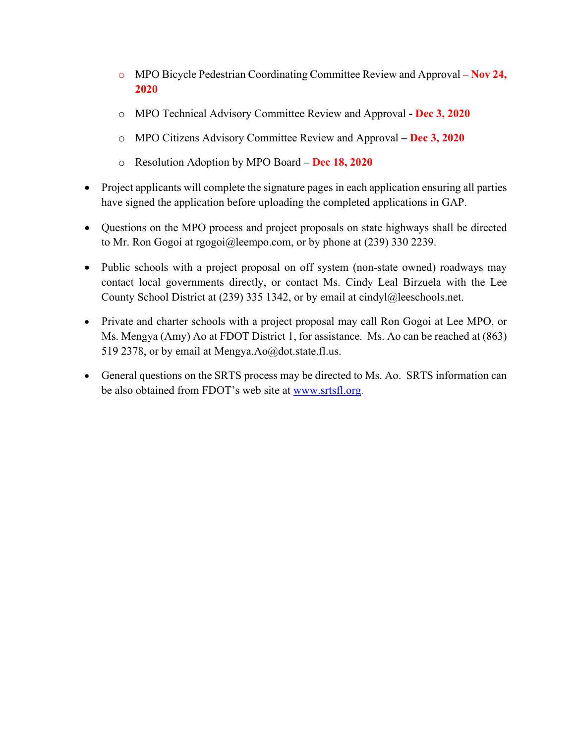- o MPO Bicycle Pedestrian Coordinating Committee Review and Approval **– Nov 24, 2020**
- o MPO Technical Advisory Committee Review and Approval **- Dec 3, 2020**
- o MPO Citizens Advisory Committee Review and Approval **– Dec 3, 2020**
- o Resolution Adoption by MPO Board **– Dec 18, 2020**
- Project applicants will complete the signature pages in each application ensuring all parties have signed the application before uploading the completed applications in GAP.
- Questions on the MPO process and project proposals on state highways shall be directed to Mr. Ron Gogoi at [rgogoi@leempo.com,](mailto:rgogoi@leempo.com) or by phone at (239) 330 2239.
- Public schools with a project proposal on off system (non-state owned) roadways may contact local governments directly, or contact Ms. Cindy Leal Birzuela with the Lee County School District at (239) 335 1342, or by email at [cindyl@leeschools.net.](mailto:cindyl@leeschools.net)
- Private and charter schools with a project proposal may call Ron Gogoi at Lee MPO, or Ms. Mengya (Amy) Ao at FDOT District 1, for assistance. Ms. Ao can be reached at (863) 519 2378, or by email at Mengya.Ao@dot.state.fl.us.
- General questions on the SRTS process may be directed to Ms. Ao. SRTS information can be also obtained from FDOT's web site at [www.srtsfl.org.](http://www.srtsfl.org/)